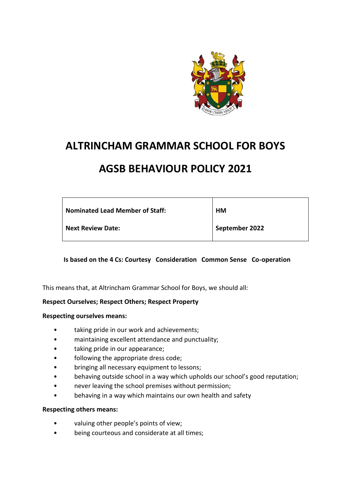

# **ALTRINCHAM GRAMMAR SCHOOL FOR BOYS**

# **AGSB BEHAVIOUR POLICY 2021**

| <b>Nominated Lead Member of Staff:</b> | HМ             |
|----------------------------------------|----------------|
| <b>Next Review Date:</b>               | September 2022 |

## **Is based on the 4 Cs: Courtesy Consideration Common Sense Co-operation**

This means that, at Altrincham Grammar School for Boys, we should all:

#### **Respect Ourselves; Respect Others; Respect Property**

#### **Respecting ourselves means:**

- taking pride in our work and achievements;
- maintaining excellent attendance and punctuality;
- taking pride in our appearance;
- following the appropriate dress code;
- bringing all necessary equipment to lessons;
- behaving outside school in a way which upholds our school's good reputation;
- never leaving the school premises without permission;
- behaving in a way which maintains our own health and safety

#### **Respecting others means:**

- valuing other people's points of view;
- being courteous and considerate at all times;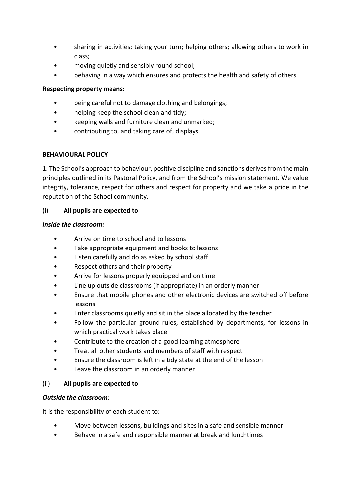- sharing in activities; taking your turn; helping others; allowing others to work in class;
- moving quietly and sensibly round school;
- behaving in a way which ensures and protects the health and safety of others

## **Respecting property means:**

- being careful not to damage clothing and belongings;
- helping keep the school clean and tidy;
- keeping walls and furniture clean and unmarked;
- contributing to, and taking care of, displays.

## **BEHAVIOURAL POLICY**

1. The School's approach to behaviour, positive discipline and sanctions derives from the main principles outlined in its Pastoral Policy, and from the School's mission statement. We value integrity, tolerance, respect for others and respect for property and we take a pride in the reputation of the School community.

## (i) **All pupils are expected to**

## *Inside the classroom:*

- Arrive on time to school and to lessons
- Take appropriate equipment and books to lessons
- Listen carefully and do as asked by school staff.
- Respect others and their property
- Arrive for lessons properly equipped and on time
- Line up outside classrooms (if appropriate) in an orderly manner
- Ensure that mobile phones and other electronic devices are switched off before lessons
- Enter classrooms quietly and sit in the place allocated by the teacher
- Follow the particular ground-rules, established by departments, for lessons in which practical work takes place
- Contribute to the creation of a good learning atmosphere
- Treat all other students and members of staff with respect
- Ensure the classroom is left in a tidy state at the end of the lesson
- Leave the classroom in an orderly manner

## (ii) **All pupils are expected to**

## *Outside the classroom*:

It is the responsibility of each student to:

- Move between lessons, buildings and sites in a safe and sensible manner
- Behave in a safe and responsible manner at break and lunchtimes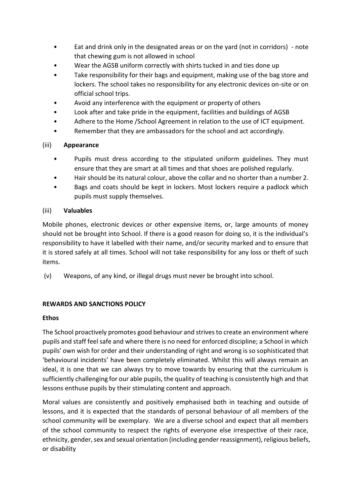- Eat and drink only in the designated areas or on the yard (not in corridors) note that chewing gum is not allowed in school
- Wear the AGSB uniform correctly with shirts tucked in and ties done up
- Take responsibility for their bags and equipment, making use of the bag store and lockers. The school takes no responsibility for any electronic devices on-site or on official school trips.
- Avoid any interference with the equipment or property of others
- Look after and take pride in the equipment, facilities and buildings of AGSB
- Adhere to the Home /School Agreement in relation to the use of ICT equipment.
- Remember that they are ambassadors for the school and act accordingly.

## (iii) **Appearance**

- Pupils must dress according to the stipulated uniform guidelines. They must ensure that they are smart at all times and that shoes are polished regularly.
- Hair should be its natural colour, above the collar and no shorter than a number 2.
- Bags and coats should be kept in lockers. Most lockers require a padlock which pupils must supply themselves.

## (iii) **Valuables**

Mobile phones, electronic devices or other expensive items, or, large amounts of money should not be brought into School. If there is a good reason for doing so, it is the individual's responsibility to have it labelled with their name, and/or security marked and to ensure that it is stored safely at all times. School will not take responsibility for any loss or theft of such items.

(v) Weapons, of any kind, or illegal drugs must never be brought into school.

## **REWARDS AND SANCTIONS POLICY**

## **Ethos**

The School proactively promotes good behaviour and strives to create an environment where pupils and staff feel safe and where there is no need for enforced discipline; a School in which pupils' own wish for order and their understanding of right and wrong is so sophisticated that 'behavioural incidents' have been completely eliminated. Whilst this will always remain an ideal, it is one that we can always try to move towards by ensuring that the curriculum is sufficiently challenging for our able pupils, the quality of teaching is consistently high and that lessons enthuse pupils by their stimulating content and approach.

Moral values are consistently and positively emphasised both in teaching and outside of lessons, and it is expected that the standards of personal behaviour of all members of the school community will be exemplary. We are a diverse school and expect that all members of the school community to respect the rights of everyone else irrespective of their race, ethnicity, gender, sex and sexual orientation (including gender reassignment), religious beliefs, or disability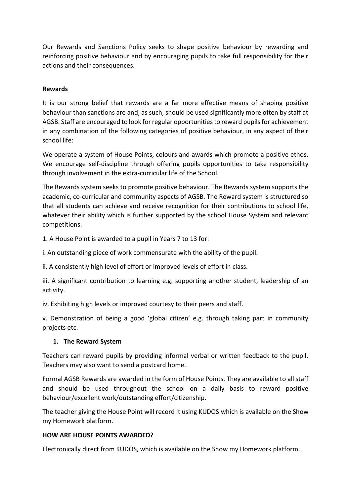Our Rewards and Sanctions Policy seeks to shape positive behaviour by rewarding and reinforcing positive behaviour and by encouraging pupils to take full responsibility for their actions and their consequences.

## **Rewards**

It is our strong belief that rewards are a far more effective means of shaping positive behaviour than sanctions are and, as such, should be used significantly more often by staff at AGSB. Staff are encouraged to look for regular opportunities to reward pupils for achievement in any combination of the following categories of positive behaviour, in any aspect of their school life:

We operate a system of House Points, colours and awards which promote a positive ethos. We encourage self-discipline through offering pupils opportunities to take responsibility through involvement in the extra-curricular life of the School.

The Rewards system seeks to promote positive behaviour. The Rewards system supports the academic, co-curricular and community aspects of AGSB. The Reward system is structured so that all students can achieve and receive recognition for their contributions to school life, whatever their ability which is further supported by the school House System and relevant competitions.

1. A House Point is awarded to a pupil in Years 7 to 13 for:

i. An outstanding piece of work commensurate with the ability of the pupil.

ii. A consistently high level of effort or improved levels of effort in class.

iii. A significant contribution to learning e.g. supporting another student, leadership of an activity.

iv. Exhibiting high levels or improved courtesy to their peers and staff.

v. Demonstration of being a good 'global citizen' e.g. through taking part in community projects etc.

## **1. The Reward System**

Teachers can reward pupils by providing informal verbal or written feedback to the pupil. Teachers may also want to send a postcard home.

Formal AGSB Rewards are awarded in the form of House Points. They are available to all staff and should be used throughout the school on a daily basis to reward positive behaviour/excellent work/outstanding effort/citizenship.

The teacher giving the House Point will record it using KUDOS which is available on the Show my Homework platform.

## **HOW ARE HOUSE POINTS AWARDED?**

Electronically direct from KUDOS, which is available on the Show my Homework platform.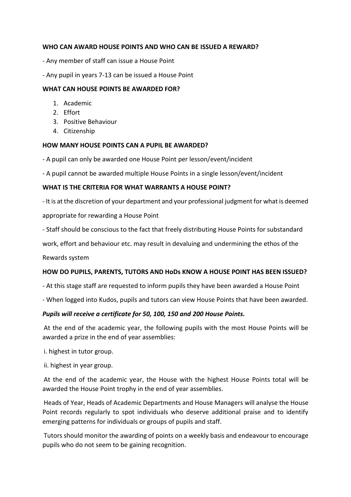## **WHO CAN AWARD HOUSE POINTS AND WHO CAN BE ISSUED A REWARD?**

- Any member of staff can issue a House Point
- Any pupil in years 7-13 can be issued a House Point

## **WHAT CAN HOUSE POINTS BE AWARDED FOR?**

- 1. Academic
- 2. Effort
- 3. Positive Behaviour
- 4. Citizenship

#### **HOW MANY HOUSE POINTS CAN A PUPIL BE AWARDED?**

- A pupil can only be awarded one House Point per lesson/event/incident
- A pupil cannot be awarded multiple House Points in a single lesson/event/incident

#### **WHAT IS THE CRITERIA FOR WHAT WARRANTS A HOUSE POINT?**

- It is at the discretion of your department and your professional judgment for what is deemed appropriate for rewarding a House Point

- Staff should be conscious to the fact that freely distributing House Points for substandard

work, effort and behaviour etc. may result in devaluing and undermining the ethos of the

Rewards system

#### **HOW DO PUPILS, PARENTS, TUTORS AND HoDs KNOW A HOUSE POINT HAS BEEN ISSUED?**

- At this stage staff are requested to inform pupils they have been awarded a House Point
- When logged into Kudos, pupils and tutors can view House Points that have been awarded.

#### *Pupils will receive a certificate for 50, 100, 150 and 200 House Points.*

At the end of the academic year, the following pupils with the most House Points will be awarded a prize in the end of year assemblies:

i. highest in tutor group.

ii. highest in year group.

At the end of the academic year, the House with the highest House Points total will be awarded the House Point trophy in the end of year assemblies.

Heads of Year, Heads of Academic Departments and House Managers will analyse the House Point records regularly to spot individuals who deserve additional praise and to identify emerging patterns for individuals or groups of pupils and staff.

Tutors should monitor the awarding of points on a weekly basis and endeavour to encourage pupils who do not seem to be gaining recognition.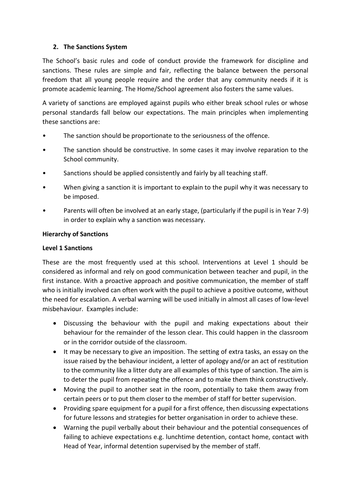## **2. The Sanctions System**

The School's basic rules and code of conduct provide the framework for discipline and sanctions. These rules are simple and fair, reflecting the balance between the personal freedom that all young people require and the order that any community needs if it is promote academic learning. The Home/School agreement also fosters the same values.

A variety of sanctions are employed against pupils who either break school rules or whose personal standards fall below our expectations. The main principles when implementing these sanctions are:

- The sanction should be proportionate to the seriousness of the offence.
- The sanction should be constructive. In some cases it may involve reparation to the School community.
- Sanctions should be applied consistently and fairly by all teaching staff.
- When giving a sanction it is important to explain to the pupil why it was necessary to be imposed.
- Parents will often be involved at an early stage, (particularly if the pupil is in Year 7-9) in order to explain why a sanction was necessary.

#### **Hierarchy of Sanctions**

#### **Level 1 Sanctions**

These are the most frequently used at this school. Interventions at Level 1 should be considered as informal and rely on good communication between teacher and pupil, in the first instance. With a proactive approach and positive communication, the member of staff who is initially involved can often work with the pupil to achieve a positive outcome, without the need for escalation. A verbal warning will be used initially in almost all cases of low-level misbehaviour. Examples include:

- Discussing the behaviour with the pupil and making expectations about their behaviour for the remainder of the lesson clear. This could happen in the classroom or in the corridor outside of the classroom.
- It may be necessary to give an imposition. The setting of extra tasks, an essay on the issue raised by the behaviour incident, a letter of apology and/or an act of restitution to the community like a litter duty are all examples of this type of sanction. The aim is to deter the pupil from repeating the offence and to make them think constructively.
- Moving the pupil to another seat in the room, potentially to take them away from certain peers or to put them closer to the member of staff for better supervision.
- Providing spare equipment for a pupil for a first offence, then discussing expectations for future lessons and strategies for better organisation in order to achieve these.
- Warning the pupil verbally about their behaviour and the potential consequences of failing to achieve expectations e.g. lunchtime detention, contact home, contact with Head of Year, informal detention supervised by the member of staff.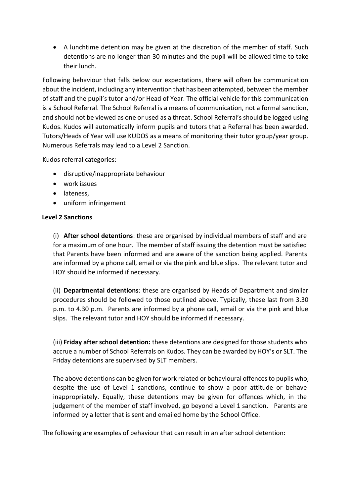• A lunchtime detention may be given at the discretion of the member of staff. Such detentions are no longer than 30 minutes and the pupil will be allowed time to take their lunch.

Following behaviour that falls below our expectations, there will often be communication about the incident, including any intervention that has been attempted, between the member of staff and the pupil's tutor and/or Head of Year. The official vehicle for this communication is a School Referral. The School Referral is a means of communication, not a formal sanction, and should not be viewed as one or used as a threat. School Referral's should be logged using Kudos. Kudos will automatically inform pupils and tutors that a Referral has been awarded. Tutors/Heads of Year will use KUDOS as a means of monitoring their tutor group/year group. Numerous Referrals may lead to a Level 2 Sanction.

Kudos referral categories:

- disruptive/inappropriate behaviour
- work issues
- lateness,
- uniform infringement

#### **Level 2 Sanctions**

(i) **After school detentions**: these are organised by individual members of staff and are for a maximum of one hour. The member of staff issuing the detention must be satisfied that Parents have been informed and are aware of the sanction being applied. Parents are informed by a phone call, email or via the pink and blue slips. The relevant tutor and HOY should be informed if necessary.

(ii) **Departmental detentions**: these are organised by Heads of Department and similar procedures should be followed to those outlined above. Typically, these last from 3.30 p.m. to 4.30 p.m. Parents are informed by a phone call, email or via the pink and blue slips. The relevant tutor and HOY should be informed if necessary.

(iii) **Friday after school detention:** these detentions are designed for those students who accrue a number of School Referrals on Kudos. They can be awarded by HOY's or SLT. The Friday detentions are supervised by SLT members.

The above detentions can be given for work related or behavioural offences to pupils who, despite the use of Level 1 sanctions, continue to show a poor attitude or behave inappropriately. Equally, these detentions may be given for offences which, in the judgement of the member of staff involved, go beyond a Level 1 sanction. Parents are informed by a letter that is sent and emailed home by the School Office.

The following are examples of behaviour that can result in an after school detention: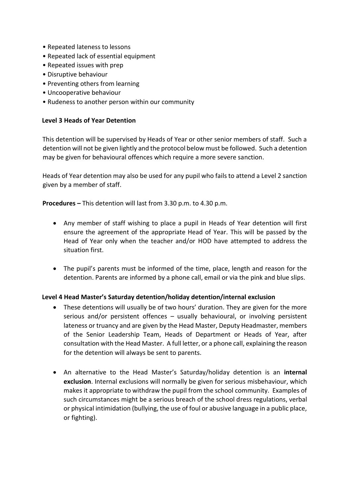- Repeated lateness to lessons
- Repeated lack of essential equipment
- Repeated issues with prep
- Disruptive behaviour
- Preventing others from learning
- Uncooperative behaviour
- Rudeness to another person within our community

#### **Level 3 Heads of Year Detention**

This detention will be supervised by Heads of Year or other senior members of staff. Such a detention will not be given lightly and the protocol below must be followed. Such a detention may be given for behavioural offences which require a more severe sanction.

Heads of Year detention may also be used for any pupil who fails to attend a Level 2 sanction given by a member of staff.

**Procedures –** This detention will last from 3.30 p.m. to 4.30 p.m.

- Any member of staff wishing to place a pupil in Heads of Year detention will first ensure the agreement of the appropriate Head of Year. This will be passed by the Head of Year only when the teacher and/or HOD have attempted to address the situation first.
- The pupil's parents must be informed of the time, place, length and reason for the detention. Parents are informed by a phone call, email or via the pink and blue slips.

#### **Level 4 Head Master's Saturday detention/holiday detention/internal exclusion**

- These detentions will usually be of two hours' duration. They are given for the more serious and/or persistent offences – usually behavioural, or involving persistent lateness or truancy and are given by the Head Master, Deputy Headmaster, members of the Senior Leadership Team, Heads of Department or Heads of Year, after consultation with the Head Master. A full letter, or a phone call, explaining the reason for the detention will always be sent to parents.
- An alternative to the Head Master's Saturday/holiday detention is an **internal exclusion**. Internal exclusions will normally be given for serious misbehaviour, which makes it appropriate to withdraw the pupil from the school community. Examples of such circumstances might be a serious breach of the school dress regulations, verbal or physical intimidation (bullying, the use of foul or abusive language in a public place, or fighting).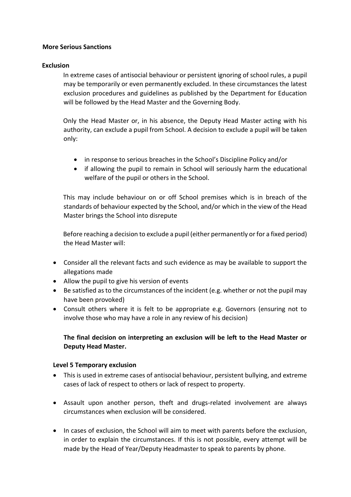#### **More Serious Sanctions**

#### **Exclusion**

In extreme cases of antisocial behaviour or persistent ignoring of school rules, a pupil may be temporarily or even permanently excluded. In these circumstances the latest exclusion procedures and guidelines as published by the Department for Education will be followed by the Head Master and the Governing Body.

Only the Head Master or, in his absence, the Deputy Head Master acting with his authority, can exclude a pupil from School. A decision to exclude a pupil will be taken only:

- in response to serious breaches in the School's Discipline Policy and/or
- if allowing the pupil to remain in School will seriously harm the educational welfare of the pupil or others in the School.

This may include behaviour on or off School premises which is in breach of the standards of behaviour expected by the School, and/or which in the view of the Head Master brings the School into disrepute

Before reaching a decision to exclude a pupil (either permanently or for a fixed period) the Head Master will:

- Consider all the relevant facts and such evidence as may be available to support the allegations made
- Allow the pupil to give his version of events
- Be satisfied as to the circumstances of the incident (e.g. whether or not the pupil may have been provoked)
- Consult others where it is felt to be appropriate e.g. Governors (ensuring not to involve those who may have a role in any review of his decision)

## **The final decision on interpreting an exclusion will be left to the Head Master or Deputy Head Master.**

## **Level 5 Temporary exclusion**

- This is used in extreme cases of antisocial behaviour, persistent bullying, and extreme cases of lack of respect to others or lack of respect to property.
- Assault upon another person, theft and drugs-related involvement are always circumstances when exclusion will be considered.
- In cases of exclusion, the School will aim to meet with parents before the exclusion, in order to explain the circumstances. If this is not possible, every attempt will be made by the Head of Year/Deputy Headmaster to speak to parents by phone.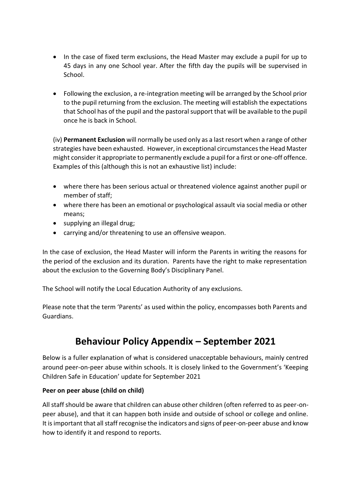- In the case of fixed term exclusions, the Head Master may exclude a pupil for up to 45 days in any one School year. After the fifth day the pupils will be supervised in School.
- Following the exclusion, a re-integration meeting will be arranged by the School prior to the pupil returning from the exclusion. The meeting will establish the expectations that School has of the pupil and the pastoral support that will be available to the pupil once he is back in School.

(iv) **Permanent Exclusion** will normally be used only as a last resort when a range of other strategies have been exhausted. However, in exceptional circumstances the Head Master might consider it appropriate to permanently exclude a pupil for a first or one-off offence. Examples of this (although this is not an exhaustive list) include:

- where there has been serious actual or threatened violence against another pupil or member of staff;
- where there has been an emotional or psychological assault via social media or other means;
- supplying an illegal drug;
- carrying and/or threatening to use an offensive weapon.

In the case of exclusion, the Head Master will inform the Parents in writing the reasons for the period of the exclusion and its duration. Parents have the right to make representation about the exclusion to the Governing Body's Disciplinary Panel.

The School will notify the Local Education Authority of any exclusions.

Please note that the term 'Parents' as used within the policy, encompasses both Parents and Guardians.

## **Behaviour Policy Appendix – September 2021**

Below is a fuller explanation of what is considered unacceptable behaviours, mainly centred around peer-on-peer abuse within schools. It is closely linked to the Government's 'Keeping Children Safe in Education' update for September 2021

## **Peer on peer abuse (child on child)**

All staff should be aware that children can abuse other children (often referred to as peer-onpeer abuse), and that it can happen both inside and outside of school or college and online. It is important that all staff recognise the indicators and signs of peer-on-peer abuse and know how to identify it and respond to reports.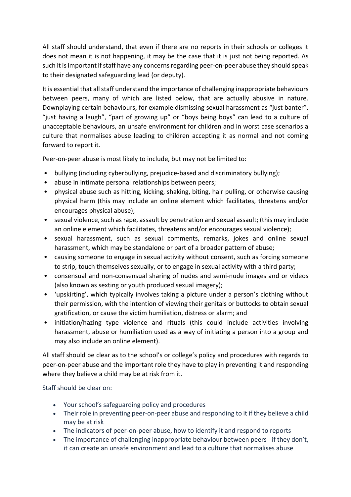All staff should understand, that even if there are no reports in their schools or colleges it does not mean it is not happening, it may be the case that it is just not being reported. As such it is important if staff have any concerns regarding peer-on-peer abuse they should speak to their designated safeguarding lead (or deputy).

It is essential that all staff understand the importance of challenging inappropriate behaviours between peers, many of which are listed below, that are actually abusive in nature. Downplaying certain behaviours, for example dismissing sexual harassment as "just banter", "just having a laugh", "part of growing up" or "boys being boys" can lead to a culture of unacceptable behaviours, an unsafe environment for children and in worst case scenarios a culture that normalises abuse leading to children accepting it as normal and not coming forward to report it.

Peer-on-peer abuse is most likely to include, but may not be limited to:

- bullying (including cyberbullying, prejudice-based and discriminatory bullying);
- abuse in intimate personal relationships between peers;
- physical abuse such as hitting, kicking, shaking, biting, hair pulling, or otherwise causing physical harm (this may include an online element which facilitates, threatens and/or encourages physical abuse);
- sexual violence, such as rape, assault by penetration and sexual assault; (this may include an online element which facilitates, threatens and/or encourages sexual violence);
- sexual harassment, such as sexual comments, remarks, jokes and online sexual harassment, which may be standalone or part of a broader pattern of abuse;
- causing someone to engage in sexual activity without consent, such as forcing someone to strip, touch themselves sexually, or to engage in sexual activity with a third party;
- consensual and non-consensual sharing of nudes and semi-nude images and or videos (also known as sexting or youth produced sexual imagery);
- 'upskirting', which typically involves taking a picture under a person's clothing without their permission, with the intention of viewing their genitals or buttocks to obtain sexual gratification, or cause the victim humiliation, distress or alarm; and
- initiation/hazing type violence and rituals (this could include activities involving harassment, abuse or humiliation used as a way of initiating a person into a group and may also include an online element).

All staff should be clear as to the school's or college's policy and procedures with regards to peer-on-peer abuse and the important role they have to play in preventing it and responding where they believe a child may be at risk from it.

Staff should be clear on:

- Your school's safeguarding policy and procedures
- Their role in preventing peer-on-peer abuse and responding to it if they believe a child may be at risk
- The indicators of peer-on-peer abuse, how to identify it and respond to reports
- The importance of challenging inappropriate behaviour between peers if they don't, it can create an unsafe environment and lead to a culture that normalises abuse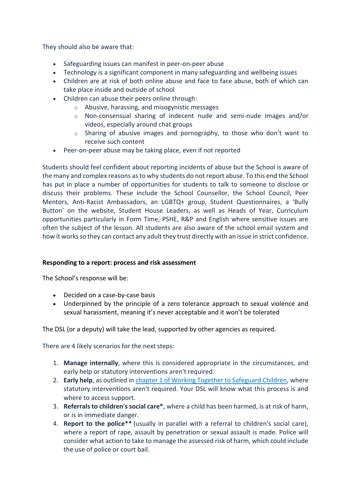They should also be aware that:

- Safeguarding issues can manifest in peer-on-peer abuse
- Technology is a significant component in many safeguarding and wellbeing issues
- Children are at risk of both online abuse and face to face abuse, both of which can take place inside and outside of school
- Children can abuse their peers online through:
	- o Abusive, harassing, and misogynistic messages
	- $\circ$  Non-consensual sharing of indecent nude and semi-nude images and/or videos, especially around chat groups
	- $\circ$  Sharing of abusive images and pornography, to those who don't want to receive such content
- Peer-on-peer abuse may be taking place, even if not reported

Students should feel confident about reporting incidents of abuse but the School is aware of the many and complex reasons as to why students do not report abuse. To this end the School has put in place a number of opportunities for students to talk to someone to disclose or discuss their problems. These include the School Counsellor, the School Council, Peer Mentors, Anti-Racist Ambassadors, an LGBTQ+ group, Student Questionnaires, a 'Bully Button' on the website, Student House Leaders, as well as Heads of Year, Curriculum opportunities particularly in Form Time, PSHE, R&P and English where sensitive issues are often the subject of the lesson. All students are also aware of the school email system and how it works so they can contact any adult they trust directly with an issue in strict confidence.

## **Responding to a report: process and risk assessment**

The School's response will be:

- Decided on a case-by-case basis
- Underpinned by the principle of a zero tolerance approach to sexual violence and sexual harassment, meaning it's never acceptable and it won't be tolerated

The DSL (or a deputy) will take the lead, supported by other agencies as required.

There are 4 likely scenarios for the next steps:

- 1. **Manage internally**, where this is considered appropriate in the circumstances, and early help or statutory interventions aren't required.
- 2. **Early help**, as outlined in [chapter 1 of Working Together to Safeguard](https://www.gov.uk/government/publications/working-together-to-safeguard-children--2) Children, where statutory interventions aren't required. Your DSL will know what this process is and where to access support.
- 3. **Referrals to children's social care\***, where a child has been harmed, is at risk of harm, or is in immediate danger.
- 4. **Report to the police\*\*** (usually in parallel with a referral to children's social care), where a report of rape, assault by penetration or sexual assault is made. Police will consider what action to take to manage the assessed risk of harm, which could include the use of police or court bail.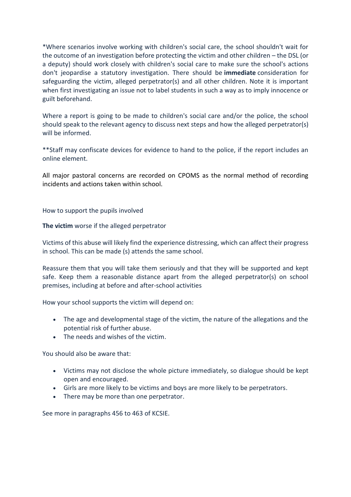\*Where scenarios involve working with children's social care, the school shouldn't wait for the outcome of an investigation before protecting the victim and other children – the DSL (or a deputy) should work closely with children's social care to make sure the school's actions don't jeopardise a statutory investigation. There should be **immediate** consideration for safeguarding the victim, alleged perpetrator(s) and all other children. Note it is important when first investigating an issue not to label students in such a way as to imply innocence or guilt beforehand.

Where a report is going to be made to children's social care and/or the police, the school should speak to the relevant agency to discuss next steps and how the alleged perpetrator(s) will be informed.

\*\*Staff may confiscate devices for evidence to hand to the police, if the report includes an online element.

All major pastoral concerns are recorded on CPOMS as the normal method of recording incidents and actions taken within school.

How to support the pupils involved

**The victim** worse if the alleged perpetrator

Victims of this abuse will likely find the experience distressing, which can affect their progress in school. This can be made (s) attends the same school.

Reassure them that you will take them seriously and that they will be supported and kept safe. Keep them a reasonable distance apart from the alleged perpetrator(s) on school premises, including at before and after-school activities

How your school supports the victim will depend on:

- The age and developmental stage of the victim, the nature of the allegations and the potential risk of further abuse.
- The needs and wishes of the victim.

You should also be aware that:

- Victims may not disclose the whole picture immediately, so dialogue should be kept open and encouraged.
- Girls are more likely to be victims and boys are more likely to be perpetrators.
- There may be more than one perpetrator.

See more in paragraphs 456 to 463 of KCSIE.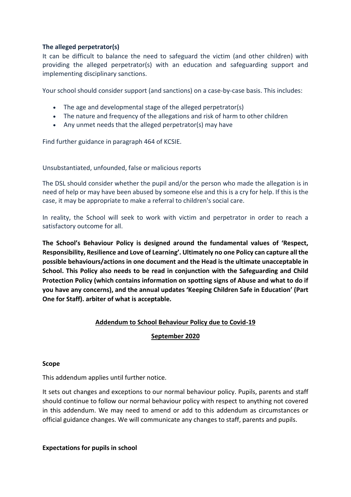## **The alleged perpetrator(s)**

It can be difficult to balance the need to safeguard the victim (and other children) with providing the alleged perpetrator(s) with an education and safeguarding support and implementing disciplinary sanctions.

Your school should consider support (and sanctions) on a case-by-case basis. This includes:

- The age and developmental stage of the alleged perpetrator(s)
- The nature and frequency of the allegations and risk of harm to other children
- Any unmet needs that the alleged perpetrator(s) may have

Find further guidance in paragraph 464 of KCSIE.

Unsubstantiated, unfounded, false or malicious reports

The DSL should consider whether the pupil and/or the person who made the allegation is in need of help or may have been abused by someone else and this is a cry for help. If this is the case, it may be appropriate to make a referral to children's social care.

In reality, the School will seek to work with victim and perpetrator in order to reach a satisfactory outcome for all.

**The School's Behaviour Policy is designed around the fundamental values of 'Respect, Responsibility, Resilience and Love of Learning'. Ultimately no one Policy can capture all the possible behaviours/actions in one document and the Head is the ultimate unacceptable in School. This Policy also needs to be read in conjunction with the Safeguarding and Child Protection Policy (which contains information on spotting signs of Abuse and what to do if you have any concerns), and the annual updates 'Keeping Children Safe in Education' (Part One for Staff). arbiter of what is acceptable.** 

## **Addendum to School Behaviour Policy due to Covid-19**

## **September 2020**

#### **Scope**

This addendum applies until further notice.

It sets out changes and exceptions to our normal behaviour policy. Pupils, parents and staff should continue to follow our normal behaviour policy with respect to anything not covered in this addendum. We may need to amend or add to this addendum as circumstances or official guidance changes. We will communicate any changes to staff, parents and pupils.

**Expectations for pupils in school**